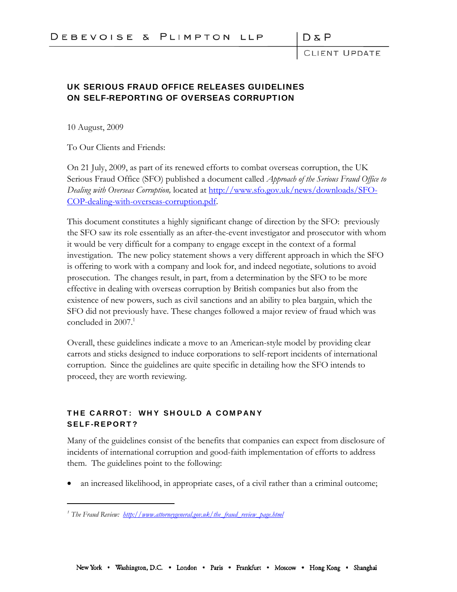DδP

LIENT UPDATE

# UK SERIOUS FRAUD OFFICE RELEASES GUIDELINES ON SELF-REPORTING OF OVERSEAS CORRUPTION

10 August, 2009

 $\overline{a}$ 

To Our Clients and Friends:

On 21 July, 2009, as part of its renewed efforts to combat overseas corruption, the UK Serious Fraud Office (SFO) published a document called *Approach of the Serious Fraud Office to Dealing with Overseas Corruption,* [located at http://www.sfo.gov.uk/news/downloads/SFO-](http://www.sfo.gov.uk/news/downloads/SFO-COP-dealing-with-overseas-corruption.pdf)COP-dealing-with-overseas-corruption.pdf.

This document constitutes a highly significant change of direction by the SFO: previously the SFO saw its role essentially as an after-the-event investigator and prosecutor with whom it would be very difficult for a company to engage except in the context of a formal investigation. The new policy statement shows a very different approach in which the SFO is offering to work with a company and look for, and indeed negotiate, solutions to avoid prosecution. The changes result, in part, from a determination by the SFO to be more effective in dealing with overseas corruption by British companies but also from the existence of new powers, such as civil sanctions and an ability to plea bargain, which the SFO did not previously have. These changes followed a major review of fraud which was concluded in  $2007<sup>1</sup>$ 

Overall, these guidelines indicate a move to an American-style model by providing clear carrots and sticks designed to induce corporations to self-report incidents of international corruption. Since the guidelines are quite specific in detailing how the SFO intends to proceed, they are worth reviewing.

## THE CARROT: WHY SHOULD A COMPANY SELF-REPORT?

Many of the guidelines consist of the benefits that companies can expect from disclosure of incidents of international corruption and good-faith implementation of efforts to address them. The guidelines point to the following:

• an increased likelihood, in appropriate cases, of a civil rather than a criminal outcome;

<sup>&</sup>lt;sup>1</sup> The Fraud Review: <u>[http://www.attorneygeneral.gov.uk/the\\_fraud\\_review\\_page.html](http://www.attorneygeneral.gov.uk/the_fraud_review_page.html)</u>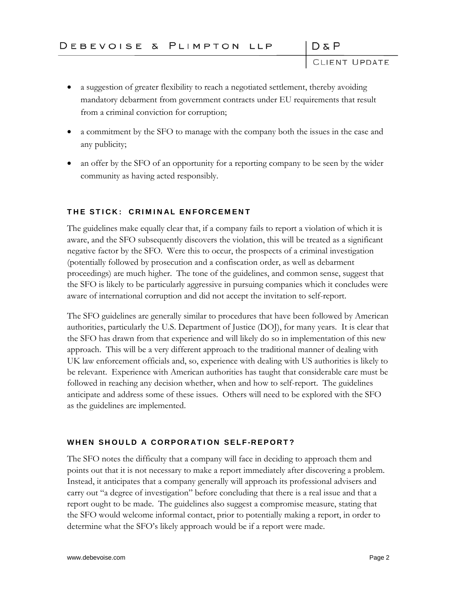CLIENT UPDATE

 $D \& P$ 

- a suggestion of greater flexibility to reach a negotiated settlement, thereby avoiding mandatory debarment from government contracts under EU requirements that result from a criminal conviction for corruption;
- a commitment by the SFO to manage with the company both the issues in the case and any publicity;
- an offer by the SFO of an opportunity for a reporting company to be seen by the wider community as having acted responsibly.

#### THE STICK: CRIMINAL ENFORCEMENT

The guidelines make equally clear that, if a company fails to report a violation of which it is aware, and the SFO subsequently discovers the violation, this will be treated as a significant negative factor by the SFO. Were this to occur, the prospects of a criminal investigation (potentially followed by prosecution and a confiscation order, as well as debarment proceedings) are much higher. The tone of the guidelines, and common sense, suggest that the SFO is likely to be particularly aggressive in pursuing companies which it concludes were aware of international corruption and did not accept the invitation to self-report.

The SFO guidelines are generally similar to procedures that have been followed by American authorities, particularly the U.S. Department of Justice (DOJ), for many years. It is clear that the SFO has drawn from that experience and will likely do so in implementation of this new approach. This will be a very different approach to the traditional manner of dealing with UK law enforcement officials and, so, experience with dealing with US authorities is likely to be relevant. Experience with American authorities has taught that considerable care must be followed in reaching any decision whether, when and how to self-report. The guidelines anticipate and address some of these issues. Others will need to be explored with the SFO as the guidelines are implemented.

#### WHEN SHOULD A CORPORATION SELF-REPORT?

The SFO notes the difficulty that a company will face in deciding to approach them and points out that it is not necessary to make a report immediately after discovering a problem. Instead, it anticipates that a company generally will approach its professional advisers and carry out "a degree of investigation" before concluding that there is a real issue and that a report ought to be made. The guidelines also suggest a compromise measure, stating that the SFO would welcome informal contact, prior to potentially making a report, in order to determine what the SFO's likely approach would be if a report were made.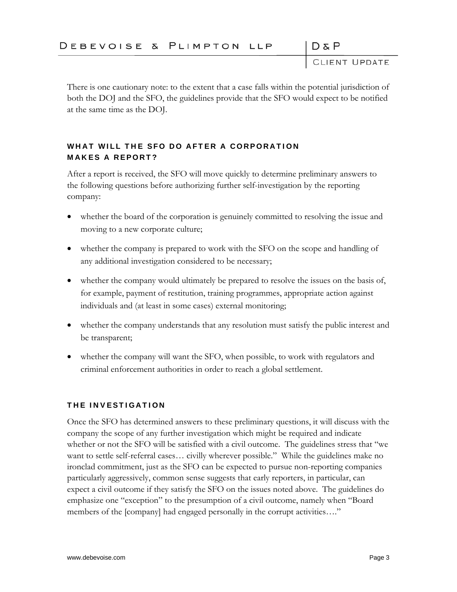$D & P$ 

D & P<br>CLIENT UPDATE

There is one cautionary note: to the extent that a case falls within the potential jurisdiction of both the DOJ and the SFO, the guidelines provide that the SFO would expect to be notified at the same time as the DOJ.

# WHAT WILL THE SFO DO AFTER A CORPORATION MAKES A REPORT?

After a report is received, the SFO will move quickly to determine preliminary answers to the following questions before authorizing further self-investigation by the reporting company:

- whether the board of the corporation is genuinely committed to resolving the issue and moving to a new corporate culture;
- whether the company is prepared to work with the SFO on the scope and handling of any additional investigation considered to be necessary;
- whether the company would ultimately be prepared to resolve the issues on the basis of, for example, payment of restitution, training programmes, appropriate action against individuals and (at least in some cases) external monitoring;
- whether the company understands that any resolution must satisfy the public interest and be transparent;
- whether the company will want the SFO, when possible, to work with regulators and criminal enforcement authorities in order to reach a global settlement.

## THE INVESTIGATION

Once the SFO has determined answers to these preliminary questions, it will discuss with the company the scope of any further investigation which might be required and indicate whether or not the SFO will be satisfied with a civil outcome. The guidelines stress that "we want to settle self-referral cases… civilly wherever possible." While the guidelines make no ironclad commitment, just as the SFO can be expected to pursue non-reporting companies particularly aggressively, common sense suggests that early reporters, in particular, can expect a civil outcome if they satisfy the SFO on the issues noted above. The guidelines do emphasize one "exception" to the presumption of a civil outcome, namely when "Board members of the [company] had engaged personally in the corrupt activities...."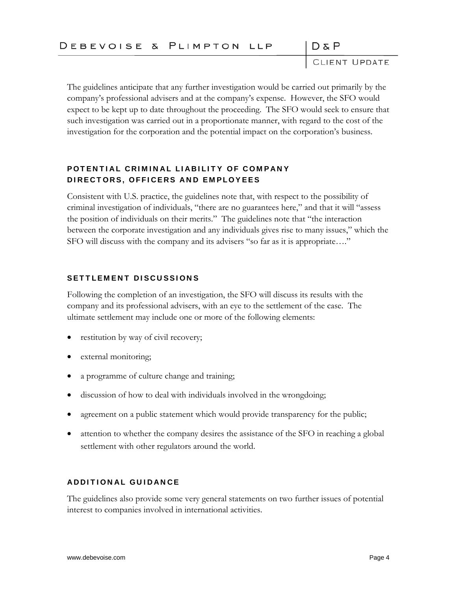|  |  |  |  |  |  |  |  | DEBEVOISE & PLIMPTON LLP |  |  |  |  |  |  |  |  |  |  |
|--|--|--|--|--|--|--|--|--------------------------|--|--|--|--|--|--|--|--|--|--|
|--|--|--|--|--|--|--|--|--------------------------|--|--|--|--|--|--|--|--|--|--|

CLIENT UPDATE

DδP

The guidelines anticipate that any further investigation would be carried out primarily by the company's professional advisers and at the company's expense. However, the SFO would expect to be kept up to date throughout the proceeding. The SFO would seek to ensure that such investigation was carried out in a proportionate manner, with regard to the cost of the investigation for the corporation and the potential impact on the corporation's business.

# POTENTIAL CRIMINAL LIABILITY OF COMPANY DIRECTORS, OFFICERS AND EMPLOYEES

Consistent with U.S. practice, the guidelines note that, with respect to the possibility of criminal investigation of individuals, "there are no guarantees here," and that it will "assess the position of individuals on their merits." The guidelines note that "the interaction between the corporate investigation and any individuals gives rise to many issues," which the SFO will discuss with the company and its advisers "so far as it is appropriate…."

## SETTLEMENT DISCUSSIONS

Following the completion of an investigation, the SFO will discuss its results with the company and its professional advisers, with an eye to the settlement of the case. The ultimate settlement may include one or more of the following elements:

- restitution by way of civil recovery;
- external monitoring;
- a programme of culture change and training;
- discussion of how to deal with individuals involved in the wrongdoing;
- agreement on a public statement which would provide transparency for the public;
- attention to whether the company desires the assistance of the SFO in reaching a global settlement with other regulators around the world.

## ADDITIONAL GUIDANCE

The guidelines also provide some very general statements on two further issues of potential interest to companies involved in international activities.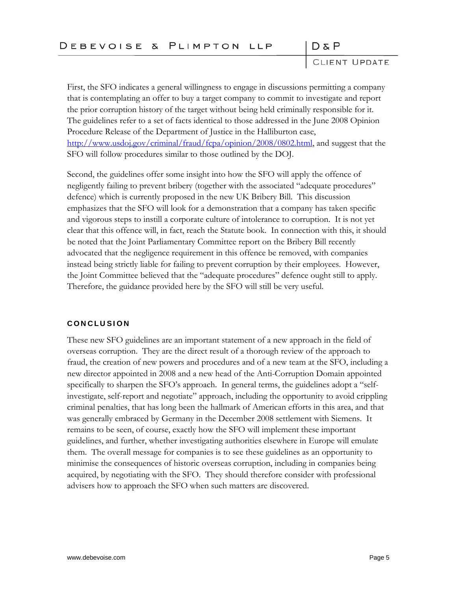DδP

**CLIENT UPDATE** 

First, the SFO indicates a general willingness to engage in discussions permitting a company that is contemplating an offer to buy a target company to commit to investigate and report the prior corruption history of the target without being held criminally responsible for it. The guidelines refer to a set of facts identical to those addressed in the June 2008 Opinion Procedure Release of the Department of Justice in the Halliburton case, [http://www.usdoj.gov/criminal/fraud/fcpa/opinion/2008/0802.html,](http://www.usdoj.gov/criminal/fraud/fcpa/opinion/2008/0802.html) and suggest that the SFO will follow procedures similar to those outlined by the DOJ.

Second, the guidelines offer some insight into how the SFO will apply the offence of negligently failing to prevent bribery (together with the associated "adequate procedures" defence) which is currently proposed in the new UK Bribery Bill. This discussion emphasizes that the SFO will look for a demonstration that a company has taken specific and vigorous steps to instill a corporate culture of intolerance to corruption. It is not yet clear that this offence will, in fact, reach the Statute book. In connection with this, it should be noted that the Joint Parliamentary Committee report on the Bribery Bill recently advocated that the negligence requirement in this offence be removed, with companies instead being strictly liable for failing to prevent corruption by their employees. However, the Joint Committee believed that the "adequate procedures" defence ought still to apply. Therefore, the guidance provided here by the SFO will still be very useful.

#### CONCLUSION

These new SFO guidelines are an important statement of a new approach in the field of overseas corruption. They are the direct result of a thorough review of the approach to fraud, the creation of new powers and procedures and of a new team at the SFO, including a new director appointed in 2008 and a new head of the Anti-Corruption Domain appointed specifically to sharpen the SFO's approach. In general terms, the guidelines adopt a "selfinvestigate, self-report and negotiate" approach, including the opportunity to avoid crippling criminal penalties, that has long been the hallmark of American efforts in this area, and that was generally embraced by Germany in the December 2008 settlement with Siemens. It remains to be seen, of course, exactly how the SFO will implement these important guidelines, and further, whether investigating authorities elsewhere in Europe will emulate them. The overall message for companies is to see these guidelines as an opportunity to minimise the consequences of historic overseas corruption, including in companies being acquired, by negotiating with the SFO. They should therefore consider with professional advisers how to approach the SFO when such matters are discovered.